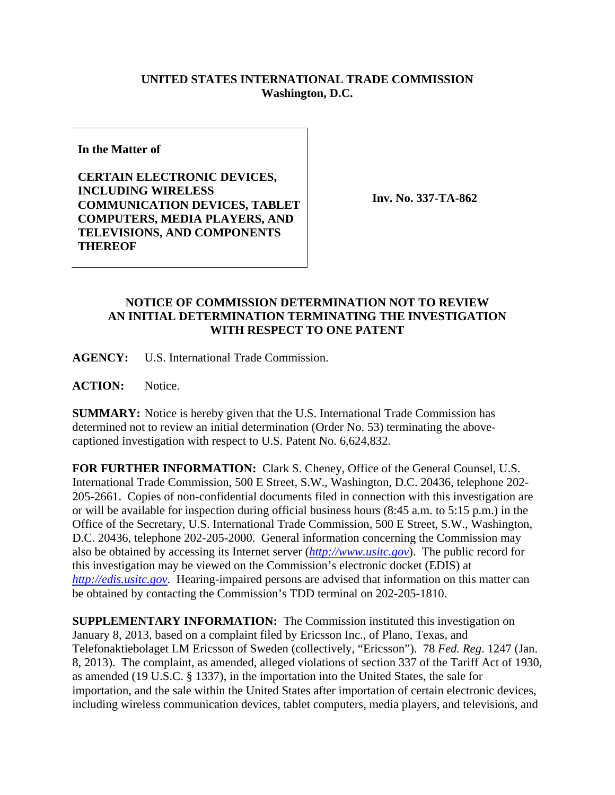## **UNITED STATES INTERNATIONAL TRADE COMMISSION Washington, D.C.**

**In the Matter of** 

**CERTAIN ELECTRONIC DEVICES, INCLUDING WIRELESS COMMUNICATION DEVICES, TABLET COMPUTERS, MEDIA PLAYERS, AND TELEVISIONS, AND COMPONENTS THEREOF** 

**Inv. No. 337-TA-862**

## **NOTICE OF COMMISSION DETERMINATION NOT TO REVIEW AN INITIAL DETERMINATION TERMINATING THE INVESTIGATION WITH RESPECT TO ONE PATENT**

**AGENCY:** U.S. International Trade Commission.

ACTION: Notice.

**SUMMARY:** Notice is hereby given that the U.S. International Trade Commission has determined not to review an initial determination (Order No. 53) terminating the abovecaptioned investigation with respect to U.S. Patent No. 6,624,832.

**FOR FURTHER INFORMATION:** Clark S. Cheney, Office of the General Counsel, U.S. International Trade Commission, 500 E Street, S.W., Washington, D.C. 20436, telephone 202- 205-2661. Copies of non-confidential documents filed in connection with this investigation are or will be available for inspection during official business hours (8:45 a.m. to 5:15 p.m.) in the Office of the Secretary, U.S. International Trade Commission, 500 E Street, S.W., Washington, D.C. 20436, telephone 202-205-2000. General information concerning the Commission may also be obtained by accessing its Internet server (*http://www.usitc.gov*). The public record for this investigation may be viewed on the Commission's electronic docket (EDIS) at *http://edis.usitc.gov*. Hearing-impaired persons are advised that information on this matter can be obtained by contacting the Commission's TDD terminal on 202-205-1810.

**SUPPLEMENTARY INFORMATION:** The Commission instituted this investigation on January 8, 2013, based on a complaint filed by Ericsson Inc., of Plano, Texas, and Telefonaktiebolaget LM Ericsson of Sweden (collectively, "Ericsson"). 78 *Fed. Reg*. 1247 (Jan. 8, 2013). The complaint, as amended, alleged violations of section 337 of the Tariff Act of 1930, as amended (19 U.S.C. § 1337), in the importation into the United States, the sale for importation, and the sale within the United States after importation of certain electronic devices, including wireless communication devices, tablet computers, media players, and televisions, and